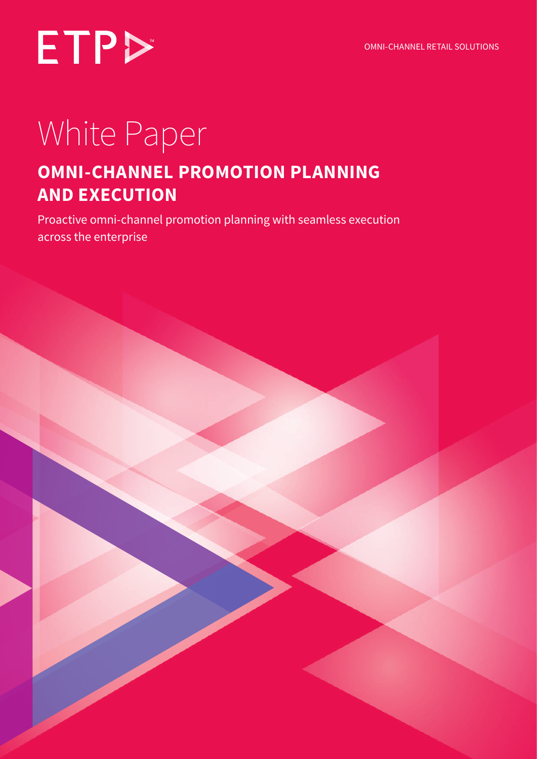

### White Paper

### **OMNI-CHANNEL PROMOTION PLANNING AND EXECUTION**

Proactive omni-channel promotion planning with seamless execution across the enterprise

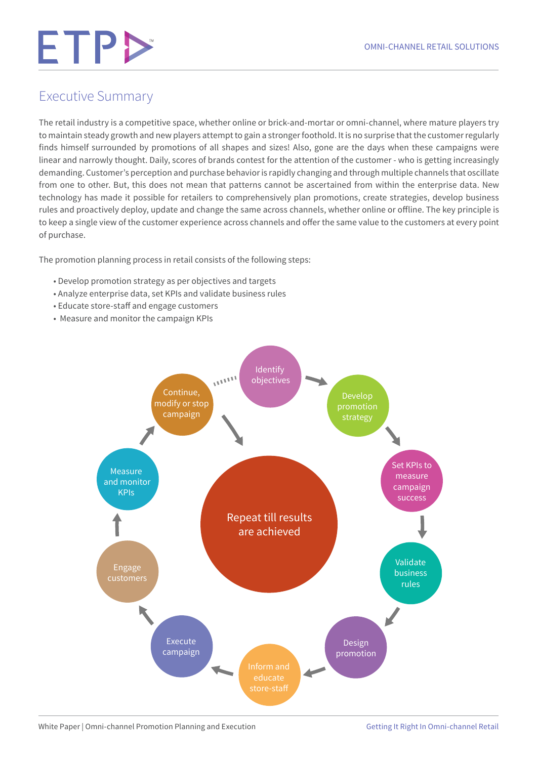#### Executive Summary

The retail industry is a competitive space, whether online or brick-and-mortar or omni-channel, where mature players try to maintain steady growth and new players attempt to gain a stronger foothold. It is no surprise that the customer regularly finds himself surrounded by promotions of all shapes and sizes! Also, gone are the days when these campaigns were linear and narrowly thought. Daily, scores of brands contest for the attention of the customer - who is getting increasingly demanding. Customer's perception and purchase behavior is rapidly changing and through multiple channels that oscillate from one to other. But, this does not mean that patterns cannot be ascertained from within the enterprise data. New technology has made it possible for retailers to comprehensively plan promotions, create strategies, develop business rules and proactively deploy, update and change the same across channels, whether online or offline. The key principle is to keep a single view of the customer experience across channels and offer the same value to the customers at every point of purchase.

The promotion planning process in retail consists of the following steps:

- Develop promotion strategy as per objectives and targets
- Analyze enterprise data, set KPIs and validate business rules
- Educate store-staff and engage customers
- Measure and monitor the campaign KPIs

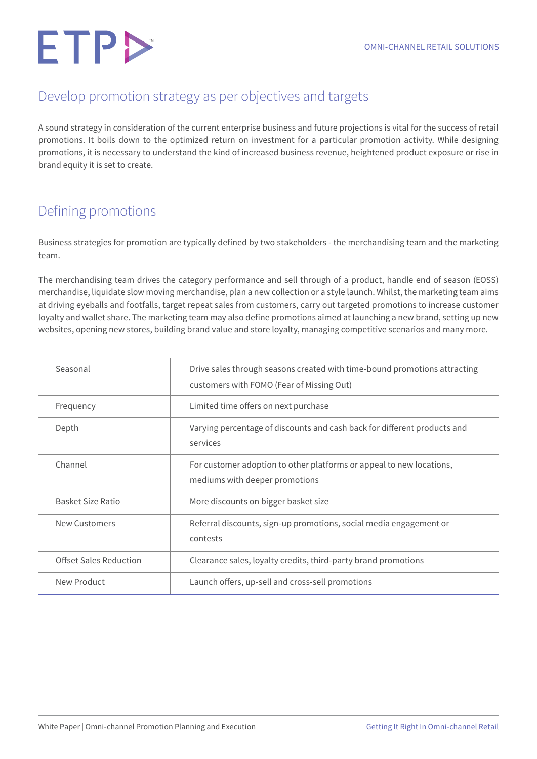#### Develop promotion strategy as per objectives and targets

A sound strategy in consideration of the current enterprise business and future projections is vital for the success of retail promotions. It boils down to the optimized return on investment for a particular promotion activity. While designing promotions, it is necessary to understand the kind of increased business revenue, heightened product exposure or rise in brand equity it is set to create.

#### Defining promotions

Business strategies for promotion are typically defined by two stakeholders - the merchandising team and the marketing team.

The merchandising team drives the category performance and sell through of a product, handle end of season (EOSS) merchandise, liquidate slow moving merchandise, plan a new collection or a style launch. Whilst, the marketing team aims at driving eyeballs and footfalls, target repeat sales from customers, carry out targeted promotions to increase customer loyalty and wallet share. The marketing team may also define promotions aimed at launching a new brand, setting up new websites, opening new stores, building brand value and store loyalty, managing competitive scenarios and many more.

| Seasonal               | Drive sales through seasons created with time-bound promotions attracting<br>customers with FOMO (Fear of Missing Out) |
|------------------------|------------------------------------------------------------------------------------------------------------------------|
| Frequency              | Limited time offers on next purchase                                                                                   |
| Depth                  | Varying percentage of discounts and cash back for different products and<br>services                                   |
| Channel                | For customer adoption to other platforms or appeal to new locations,<br>mediums with deeper promotions                 |
| Basket Size Ratio      | More discounts on bigger basket size                                                                                   |
| <b>New Customers</b>   | Referral discounts, sign-up promotions, social media engagement or<br>contests                                         |
| Offset Sales Reduction | Clearance sales, loyalty credits, third-party brand promotions                                                         |
| New Product            | Launch offers, up-sell and cross-sell promotions                                                                       |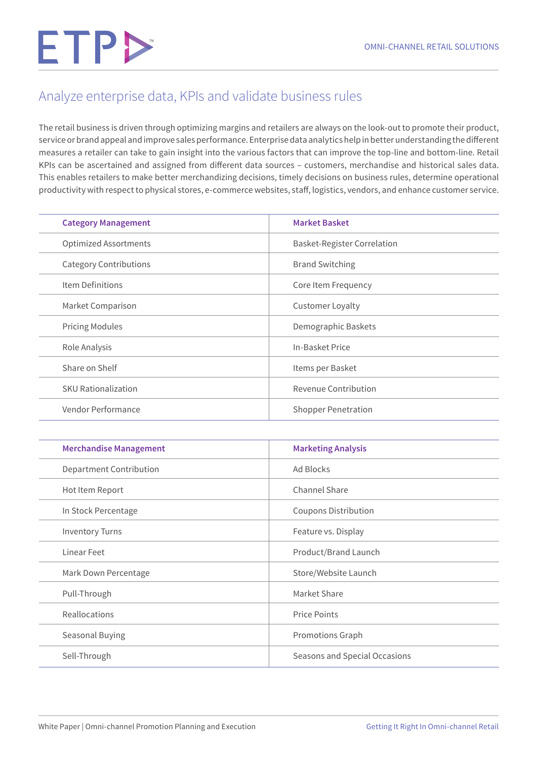#### Analyze enterprise data, KPIs and validate business rules

The retail business is driven through optimizing margins and retailers are always on the look-out to promote their product, service or brand appeal and improve sales performance. Enterprise data analytics help in better understanding the different measures a retailer can take to gain insight into the various factors that can improve the top-line and bottom-line. Retail KPIs can be ascertained and assigned from different data sources – customers, merchandise and historical sales data. This enables retailers to make better merchandizing decisions, timely decisions on business rules, determine operational productivity with respect to physical stores, e-commerce websites, staff, logistics, vendors, and enhance customer service.

| <b>Category Management</b>    | <b>Market Basket</b>               |
|-------------------------------|------------------------------------|
| <b>Optimized Assortments</b>  | <b>Basket-Register Correlation</b> |
| <b>Category Contributions</b> | <b>Brand Switching</b>             |
| Item Definitions              | Core Item Frequency                |
| Market Comparison             | <b>Customer Loyalty</b>            |
| <b>Pricing Modules</b>        | Demographic Baskets                |
| Role Analysis                 | In-Basket Price                    |
| Share on Shelf                | Items per Basket                   |
| <b>SKU Rationalization</b>    | Revenue Contribution               |
| Vendor Performance            | <b>Shopper Penetration</b>         |

| <b>Merchandise Management</b> | <b>Marketing Analysis</b>     |
|-------------------------------|-------------------------------|
| Department Contribution       | Ad Blocks                     |
| Hot Item Report               | Channel Share                 |
| In Stock Percentage           | <b>Coupons Distribution</b>   |
| <b>Inventory Turns</b>        | Feature vs. Display           |
| Linear Feet                   | Product/Brand Launch          |
| Mark Down Percentage          | Store/Website Launch          |
| Pull-Through                  | Market Share                  |
| Reallocations                 | <b>Price Points</b>           |
| Seasonal Buying               | Promotions Graph              |
| Sell-Through                  | Seasons and Special Occasions |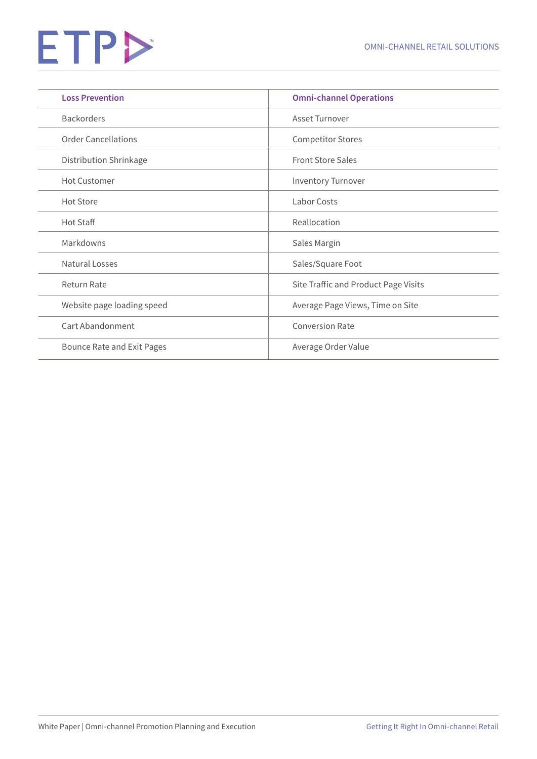| <b>Loss Prevention</b>     | <b>Omni-channel Operations</b>       |
|----------------------------|--------------------------------------|
| <b>Backorders</b>          | Asset Turnover                       |
| <b>Order Cancellations</b> | <b>Competitor Stores</b>             |
| Distribution Shrinkage     | <b>Front Store Sales</b>             |
| <b>Hot Customer</b>        | Inventory Turnover                   |
| <b>Hot Store</b>           | Labor Costs                          |
| Hot Staff                  | Reallocation                         |
| Markdowns                  | Sales Margin                         |
| Natural Losses             | Sales/Square Foot                    |
| <b>Return Rate</b>         | Site Traffic and Product Page Visits |
| Website page loading speed | Average Page Views, Time on Site     |
| Cart Abandonment           | <b>Conversion Rate</b>               |
| Bounce Rate and Exit Pages | Average Order Value                  |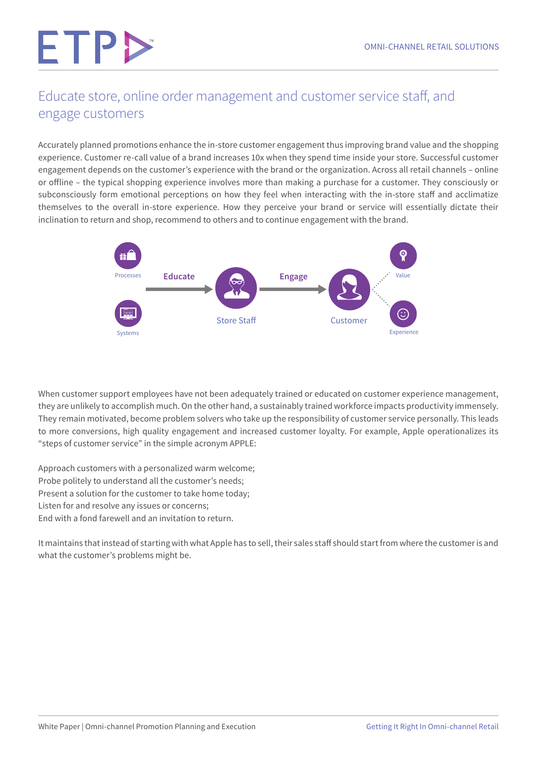#### Educate store, online order management and customer service staff, and engage customers

Accurately planned promotions enhance the in-store customer engagement thus improving brand value and the shopping experience. Customer re-call value of a brand increases 10x when they spend time inside your store. Successful customer engagement depends on the customer's experience with the brand or the organization. Across all retail channels – online or offline – the typical shopping experience involves more than making a purchase for a customer. They consciously or subconsciously form emotional perceptions on how they feel when interacting with the in-store staff and acclimatize themselves to the overall in-store experience. How they perceive your brand or service will essentially dictate their inclination to return and shop, recommend to others and to continue engagement with the brand.



When customer support employees have not been adequately trained or educated on customer experience management, they are unlikely to accomplish much. On the other hand, a sustainably trained workforce impacts productivity immensely. They remain motivated, become problem solvers who take up the responsibility of customer service personally. This leads to more conversions, high quality engagement and increased customer loyalty. For example, Apple operationalizes its "steps of customer service" in the simple acronym APPLE:

Approach customers with a personalized warm welcome; Probe politely to understand all the customer's needs; Present a solution for the customer to take home today; Listen for and resolve any issues or concerns; End with a fond farewell and an invitation to return.

It maintains that instead of starting with what Apple has to sell, their sales staff should start from where the customer is and what the customer's problems might be.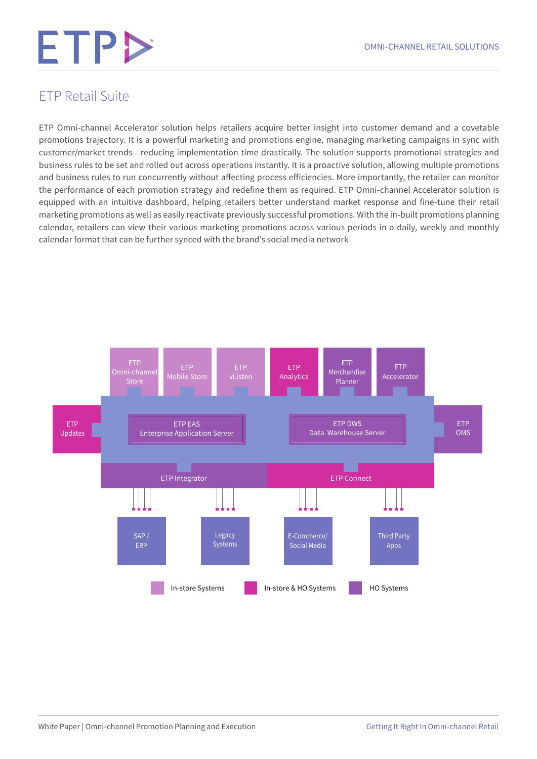#### ETP Retail Suite

ETP Omni-channel Accelerator solution helps retailers acquire better insight into customer demand and a covetable promotions trajectory. It is a powerful marketing and promotions engine, managing marketing campaigns in sync with customer/market trends - reducing implementation time drastically. The solution supports promotional strategies and business rules to be set and rolled out across operations instantly. It is a proactive solution, allowing multiple promotions and business rules to run concurrently without affecting process efficiencies. More importantly, the retailer can monitor the performance of each promotion strategy and redefine them as required. ETP Omni-channel Accelerator solution is equipped with an intuitive dashboard, helping retailers better understand market response and fine-tune their retail marketing promotions as well as easily reactivate previously successful promotions. With the in-built promotions planning calendar, retailers can view their various marketing promotions across various periods in a daily, weekly and monthly calendar format that can be further synced with the brand's social media network